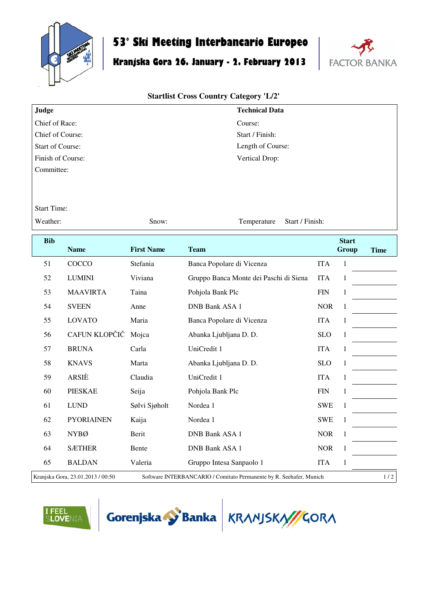

## **53° Ski Meeting Interbancario Europeo**

## **Kranjska Gora 26. January - 2. February 2013**



## **Startlist Cross Country Category 'L/2'**

| Judge                   | <b>Technical Data</b> |
|-------------------------|-----------------------|
| Chief of Race:          | Course:               |
| Chief of Course:        | Start / Finish:       |
| <b>Start of Course:</b> | Length of Course:     |
| Finish of Course:       | Vertical Drop:        |
| Committee:              |                       |

Start Time:

Weather: Snow: Snow: Temperature Start / Finish:

| <b>Bib</b> | <b>Name</b>                       | <b>First Name</b> | <b>Team</b>                                                         |            | <b>Start</b><br>Group | <b>Time</b> |
|------------|-----------------------------------|-------------------|---------------------------------------------------------------------|------------|-----------------------|-------------|
| 51         | COCCO                             | Stefania          | Banca Popolare di Vicenza                                           | <b>ITA</b> | 1                     |             |
| 52         | <b>LUMINI</b>                     | Viviana           | Gruppo Banca Monte dei Paschi di Siena                              | <b>ITA</b> | 1                     |             |
| 53         | <b>MAAVIRTA</b>                   | Taina             | Pohjola Bank Plc                                                    | <b>FIN</b> | 1                     |             |
| 54         | <b>SVEEN</b>                      | Anne              | <b>DNB Bank ASA 1</b>                                               | <b>NOR</b> | 1                     |             |
| 55         | <b>LOVATO</b>                     | Maria             | Banca Popolare di Vicenza                                           | <b>ITA</b> | 1                     |             |
| 56         | CAFUN KLOPČIČ                     | Mojca             | Abanka Ljubljana D. D.                                              | <b>SLO</b> | 1                     |             |
| 57         | <b>BRUNA</b>                      | Carla             | UniCredit 1                                                         | <b>ITA</b> | 1                     |             |
| 58         | <b>KNAVS</b>                      | Marta             | Abanka Ljubljana D. D.                                              | <b>SLO</b> | 1                     |             |
| 59         | ARSIÈ                             | Claudia           | UniCredit 1                                                         | <b>ITA</b> | 1                     |             |
| 60         | <b>PIESKAE</b>                    | Seija             | Pohjola Bank Plc                                                    | <b>FIN</b> | 1                     |             |
| 61         | <b>LUND</b>                       | Sølvi Sjøholt     | Nordea 1                                                            | <b>SWE</b> | $\mathbf{1}$          |             |
| 62         | <b>PYORIAINEN</b>                 | Kaija             | Nordea 1                                                            | <b>SWE</b> | 1                     |             |
| 63         | <b>NYBØ</b>                       | Berit             | <b>DNB Bank ASA 1</b>                                               | <b>NOR</b> | 1                     |             |
| 64         | <b>SÆTHER</b>                     | Bente             | DNB Bank ASA 1                                                      | <b>NOR</b> | 1                     |             |
| 65         | <b>BALDAN</b>                     | Valeria           | Gruppo Intesa Sanpaolo 1                                            | <b>ITA</b> | 1                     |             |
|            | Kranjska Gora, 23.01.2013 / 00:50 |                   | Software INTERBANCARIO / Comitato Permanente by R. Seehafer, Munich |            |                       | 1/2         |